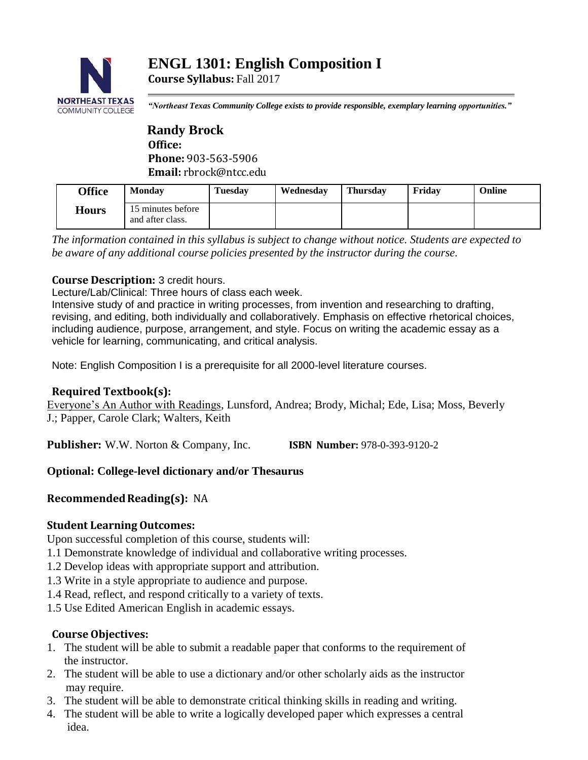

*"Northeast Texas Community College exists to provide responsible, exemplary learning opportunities."*

 **Randy Brock Office: Phone:** 903-563-5906 **Email:** rbrock@ntcc.edu

| <b>Office</b> | <b>Monday</b>                         | Tuesday | Wednesdav | <b>Thursday</b> | Fridav | Online |
|---------------|---------------------------------------|---------|-----------|-----------------|--------|--------|
| <b>Hours</b>  | 15 minutes before<br>and after class. |         |           |                 |        |        |

*The information contained in this syllabus is subject to change without notice. Students are expected to be aware of any additional course policies presented by the instructor during the course.*

# **Course Description:** 3 credit hours.

Lecture/Lab/Clinical: Three hours of class each week.

Intensive study of and practice in writing processes, from invention and researching to drafting, revising, and editing, both individually and collaboratively. Emphasis on effective rhetorical choices, including audience, purpose, arrangement, and style. Focus on writing the academic essay as a vehicle for learning, communicating, and critical analysis.

Note: English Composition I is a prerequisite for all 2000-level literature courses.

# **Required Textbook(s):**

Everyone's An Author with Readings, Lunsford, Andrea; Brody, Michal; Ede, Lisa; Moss, Beverly J.; Papper, Carole Clark; Walters, Keith

**Publisher:** W.W. Norton & Company, Inc. **ISBN Number:** 978-0-393-9120-2

# **Optional: College-level dictionary and/or Thesaurus**

# **Recommended Reading(s): NA**

# **Student Learning Outcomes:**

Upon successful completion of this course, students will:

- 1.1 Demonstrate knowledge of individual and collaborative writing processes.
- 1.2 Develop ideas with appropriate support and attribution.
- 1.3 Write in a style appropriate to audience and purpose.
- 1.4 Read, reflect, and respond critically to a variety of texts.
- 1.5 Use Edited American English in academic essays.

## **Course Objectives:**

- 1. The student will be able to submit a readable paper that conforms to the requirement of the instructor.
- 2. The student will be able to use a dictionary and/or other scholarly aids as the instructor may require.
- 3. The student will be able to demonstrate critical thinking skills in reading and writing.
- 4. The student will be able to write a logically developed paper which expresses a central idea.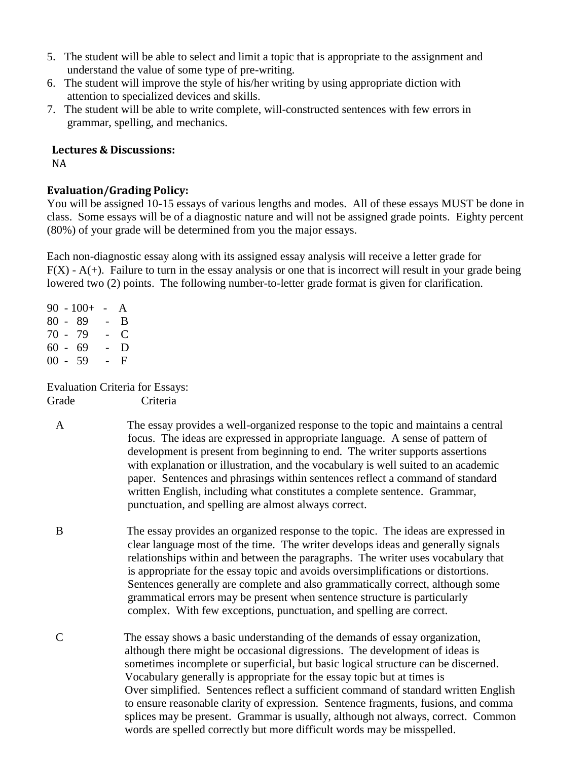- 5. The student will be able to select and limit a topic that is appropriate to the assignment and understand the value of some type of pre-writing.
- 6. The student will improve the style of his/her writing by using appropriate diction with attention to specialized devices and skills.
- 7. The student will be able to write complete, will-constructed sentences with few errors in grammar, spelling, and mechanics.

#### **Lectures & Discussions:**

NA

# **Evaluation/Grading Policy:**

You will be assigned 10-15 essays of various lengths and modes. All of these essays MUST be done in class. Some essays will be of a diagnostic nature and will not be assigned grade points. Eighty percent (80%) of your grade will be determined from you the major essays.

Each non-diagnostic essay along with its assigned essay analysis will receive a letter grade for  $F(X)$  - A(+). Failure to turn in the essay analysis or one that is incorrect will result in your grade being lowered two (2) points. The following number-to-letter grade format is given for clarification.

90 -  $100+$  - A 80 - 89 - B 70 - 79 - C  $60 - 69 - D$  $00 - 59 - F$ 

Evaluation Criteria for Essays: Grade Criteria

- A The essay provides a well-organized response to the topic and maintains a central focus. The ideas are expressed in appropriate language. A sense of pattern of development is present from beginning to end. The writer supports assertions with explanation or illustration, and the vocabulary is well suited to an academic paper. Sentences and phrasings within sentences reflect a command of standard written English, including what constitutes a complete sentence. Grammar, punctuation, and spelling are almost always correct.
- B The essay provides an organized response to the topic. The ideas are expressed in clear language most of the time. The writer develops ideas and generally signals relationships within and between the paragraphs. The writer uses vocabulary that is appropriate for the essay topic and avoids oversimplifications or distortions. Sentences generally are complete and also grammatically correct, although some grammatical errors may be present when sentence structure is particularly complex. With few exceptions, punctuation, and spelling are correct.
- C The essay shows a basic understanding of the demands of essay organization, although there might be occasional digressions. The development of ideas is sometimes incomplete or superficial, but basic logical structure can be discerned. Vocabulary generally is appropriate for the essay topic but at times is Over simplified. Sentences reflect a sufficient command of standard written English to ensure reasonable clarity of expression. Sentence fragments, fusions, and comma splices may be present. Grammar is usually, although not always, correct. Common words are spelled correctly but more difficult words may be misspelled.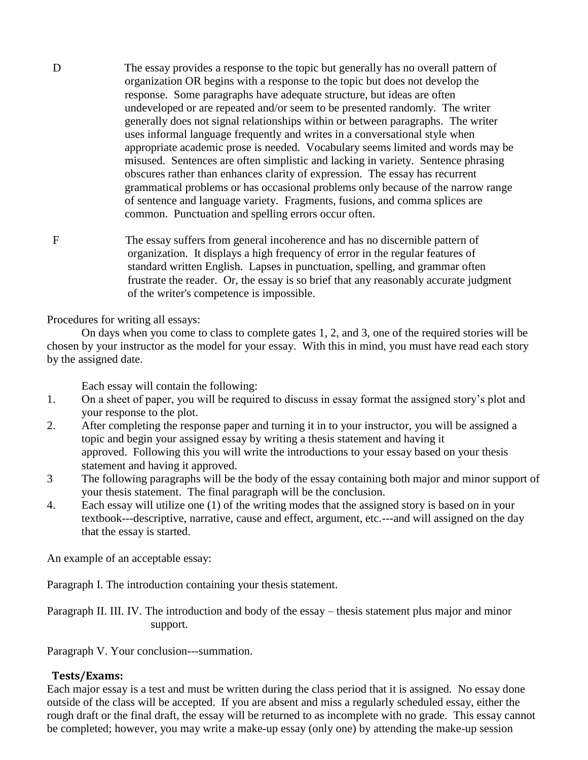- D The essay provides a response to the topic but generally has no overall pattern of organization OR begins with a response to the topic but does not develop the response. Some paragraphs have adequate structure, but ideas are often undeveloped or are repeated and/or seem to be presented randomly. The writer generally does not signal relationships within or between paragraphs. The writer uses informal language frequently and writes in a conversational style when appropriate academic prose is needed. Vocabulary seems limited and words may be misused. Sentences are often simplistic and lacking in variety. Sentence phrasing obscures rather than enhances clarity of expression. The essay has recurrent grammatical problems or has occasional problems only because of the narrow range of sentence and language variety. Fragments, fusions, and comma splices are common. Punctuation and spelling errors occur often.
- F The essay suffers from general incoherence and has no discernible pattern of organization. It displays a high frequency of error in the regular features of standard written English. Lapses in punctuation, spelling, and grammar often frustrate the reader. Or, the essay is so brief that any reasonably accurate judgment of the writer's competence is impossible.

Procedures for writing all essays:

On days when you come to class to complete gates 1, 2, and 3, one of the required stories will be chosen by your instructor as the model for your essay. With this in mind, you must have read each story by the assigned date.

Each essay will contain the following:

- 1. On a sheet of paper, you will be required to discuss in essay format the assigned story's plot and your response to the plot.
- 2. After completing the response paper and turning it in to your instructor, you will be assigned a topic and begin your assigned essay by writing a thesis statement and having it approved. Following this you will write the introductions to your essay based on your thesis statement and having it approved.
- 3 The following paragraphs will be the body of the essay containing both major and minor support of your thesis statement. The final paragraph will be the conclusion.
- 4. Each essay will utilize one (1) of the writing modes that the assigned story is based on in your textbook---descriptive, narrative, cause and effect, argument, etc.---and will assigned on the day that the essay is started.

An example of an acceptable essay:

Paragraph I. The introduction containing your thesis statement.

Paragraph II. III. IV. The introduction and body of the essay – thesis statement plus major and minor support.

Paragraph V. Your conclusion---summation.

## **Tests/Exams:**

Each major essay is a test and must be written during the class period that it is assigned. No essay done outside of the class will be accepted. If you are absent and miss a regularly scheduled essay, either the rough draft or the final draft, the essay will be returned to as incomplete with no grade. This essay cannot be completed; however, you may write a make-up essay (only one) by attending the make-up session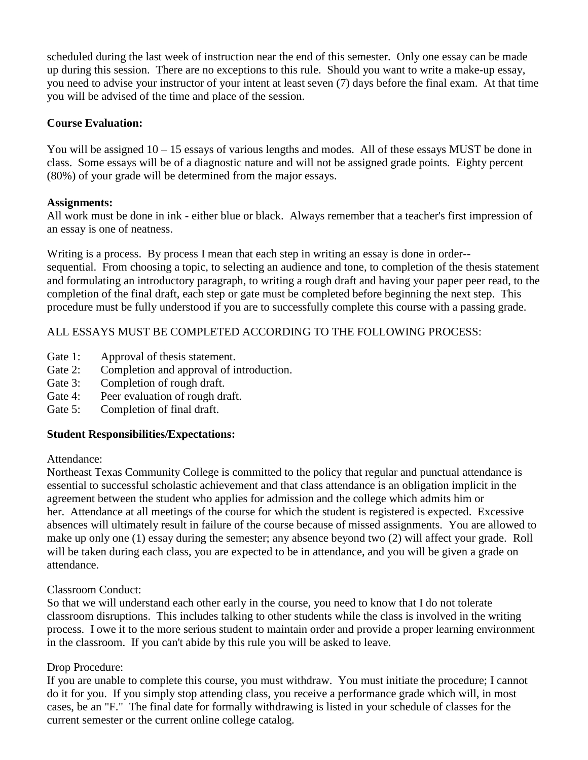scheduled during the last week of instruction near the end of this semester. Only one essay can be made up during this session. There are no exceptions to this rule. Should you want to write a make-up essay, you need to advise your instructor of your intent at least seven (7) days before the final exam. At that time you will be advised of the time and place of the session.

### **Course Evaluation:**

You will be assigned  $10 - 15$  essays of various lengths and modes. All of these essays MUST be done in class. Some essays will be of a diagnostic nature and will not be assigned grade points. Eighty percent (80%) of your grade will be determined from the major essays.

#### **Assignments:**

All work must be done in ink - either blue or black. Always remember that a teacher's first impression of an essay is one of neatness.

Writing is a process. By process I mean that each step in writing an essay is done in order-sequential. From choosing a topic, to selecting an audience and tone, to completion of the thesis statement and formulating an introductory paragraph, to writing a rough draft and having your paper peer read, to the completion of the final draft, each step or gate must be completed before beginning the next step. This procedure must be fully understood if you are to successfully complete this course with a passing grade.

## ALL ESSAYS MUST BE COMPLETED ACCORDING TO THE FOLLOWING PROCESS:

- Gate 1: Approval of thesis statement.
- Gate 2: Completion and approval of introduction.
- Gate 3: Completion of rough draft.
- Gate 4: Peer evaluation of rough draft.
- Gate 5: Completion of final draft.

## **Student Responsibilities/Expectations:**

#### Attendance:

Northeast Texas Community College is committed to the policy that regular and punctual attendance is essential to successful scholastic achievement and that class attendance is an obligation implicit in the agreement between the student who applies for admission and the college which admits him or her. Attendance at all meetings of the course for which the student is registered is expected. Excessive absences will ultimately result in failure of the course because of missed assignments. You are allowed to make up only one (1) essay during the semester; any absence beyond two (2) will affect your grade. Roll will be taken during each class, you are expected to be in attendance, and you will be given a grade on attendance.

## Classroom Conduct:

So that we will understand each other early in the course, you need to know that I do not tolerate classroom disruptions. This includes talking to other students while the class is involved in the writing process. I owe it to the more serious student to maintain order and provide a proper learning environment in the classroom. If you can't abide by this rule you will be asked to leave.

## Drop Procedure:

If you are unable to complete this course, you must withdraw. You must initiate the procedure; I cannot do it for you. If you simply stop attending class, you receive a performance grade which will, in most cases, be an "F." The final date for formally withdrawing is listed in your schedule of classes for the current semester or the current online college catalog.